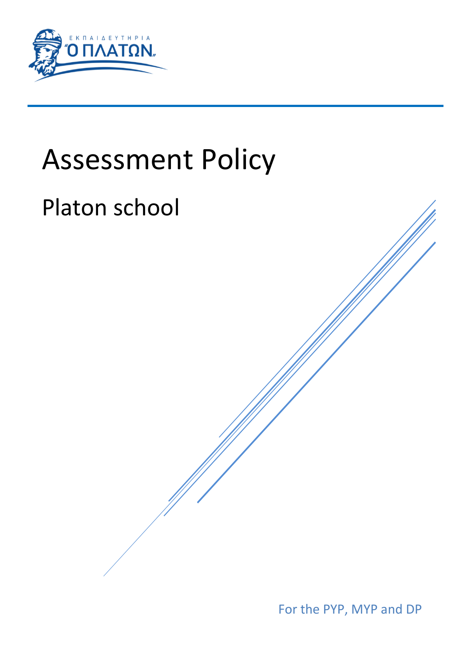

# Assessment Policy

# Platon school

For the PYP, MYP and DP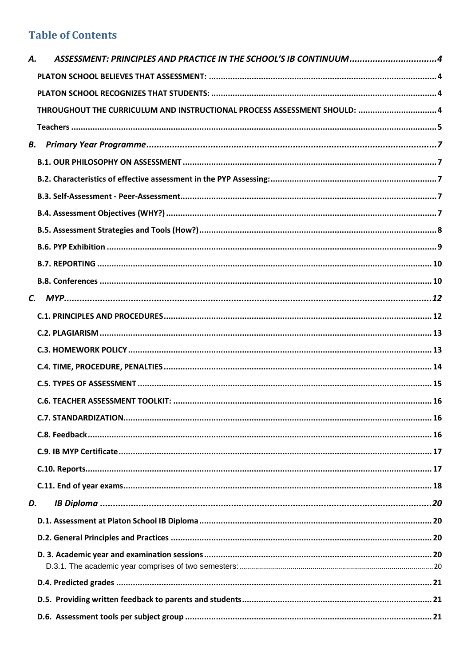# **Table of Contents**

| Α. | ASSESSMENT: PRINCIPLES AND PRACTICE IN THE SCHOOL'S IB CONTINUUM4         |  |
|----|---------------------------------------------------------------------------|--|
|    |                                                                           |  |
|    |                                                                           |  |
|    | THROUGHOUT THE CURRICULUM AND INSTRUCTIONAL PROCESS ASSESSMENT SHOULD:  4 |  |
|    |                                                                           |  |
|    |                                                                           |  |
|    |                                                                           |  |
|    |                                                                           |  |
|    |                                                                           |  |
|    |                                                                           |  |
|    |                                                                           |  |
|    |                                                                           |  |
|    |                                                                           |  |
|    |                                                                           |  |
|    |                                                                           |  |
|    |                                                                           |  |
|    |                                                                           |  |
|    |                                                                           |  |
|    |                                                                           |  |
|    |                                                                           |  |
|    |                                                                           |  |
|    |                                                                           |  |
|    |                                                                           |  |
|    |                                                                           |  |
|    |                                                                           |  |
|    |                                                                           |  |
| D. |                                                                           |  |
|    |                                                                           |  |
|    |                                                                           |  |
|    |                                                                           |  |
|    |                                                                           |  |
|    |                                                                           |  |
|    |                                                                           |  |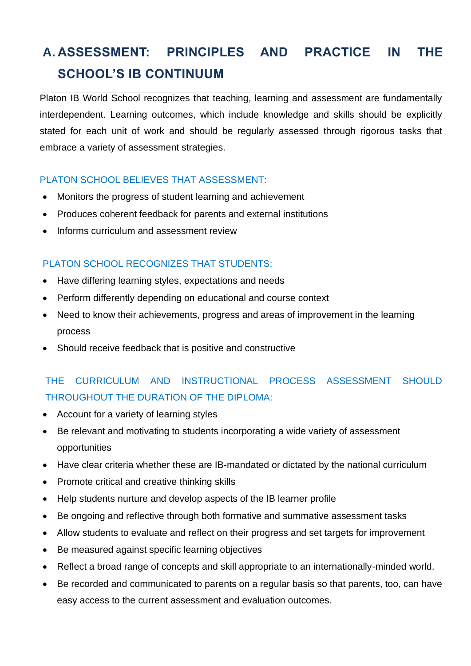# <span id="page-3-0"></span>**A. ASSESSMENT: PRINCIPLES AND PRACTICE IN THE SCHOOL'S IB CONTINUUM**

Platon IB World School recognizes that teaching, learning and assessment are fundamentally interdependent. Learning outcomes, which include knowledge and skills should be explicitly stated for each unit of work and should be regularly assessed through rigorous tasks that embrace a variety of assessment strategies.

#### <span id="page-3-1"></span>PLATON SCHOOL BELIEVES THAT ASSESSMENT:

- Monitors the progress of student learning and achievement
- Produces coherent feedback for parents and external institutions
- Informs curriculum and assessment review

#### <span id="page-3-2"></span>PLATON SCHOOL RECOGNIZES THAT STUDENTS:

- Have differing learning styles, expectations and needs
- Perform differently depending on educational and course context
- Need to know their achievements, progress and areas of improvement in the learning process
- Should receive feedback that is positive and constructive

# <span id="page-3-3"></span>THE CURRICULUM AND INSTRUCTIONAL PROCESS ASSESSMENT SHOULD THROUGHOUT THE DURATION OF THE DIPLOMA:

- Account for a variety of learning styles
- Be relevant and motivating to students incorporating a wide variety of assessment opportunities
- Have clear criteria whether these are IB-mandated or dictated by the national curriculum
- Promote critical and creative thinking skills
- Help students nurture and develop aspects of the IB learner profile
- Be ongoing and reflective through both formative and summative assessment tasks
- Allow students to evaluate and reflect on their progress and set targets for improvement
- Be measured against specific learning objectives
- Reflect a broad range of concepts and skill appropriate to an internationally-minded world.
- Be recorded and communicated to parents on a regular basis so that parents, too, can have easy access to the current assessment and evaluation outcomes.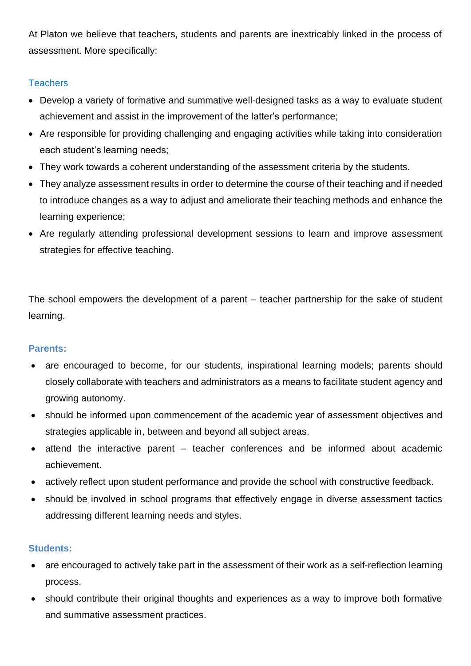At Platon we believe that teachers, students and parents are inextricably linked in the process of assessment. More specifically:

#### <span id="page-4-0"></span>**Teachers**

- Develop a variety of formative and summative well-designed tasks as a way to evaluate student achievement and assist in the improvement of the latter's performance;
- Are responsible for providing challenging and engaging activities while taking into consideration each student's learning needs;
- They work towards a coherent understanding of the assessment criteria by the students.
- They analyze assessment results in order to determine the course of their teaching and if needed to introduce changes as a way to adjust and ameliorate their teaching methods and enhance the learning experience;
- Are regularly attending professional development sessions to learn and improve assessment strategies for effective teaching.

The school empowers the development of a parent – teacher partnership for the sake of student learning.

#### **Parents:**

- are encouraged to become, for our students, inspirational learning models; parents should closely collaborate with teachers and administrators as a means to facilitate student agency and growing autonomy.
- should be informed upon commencement of the academic year of assessment objectives and strategies applicable in, between and beyond all subject areas.
- attend the interactive parent teacher conferences and be informed about academic achievement.
- actively reflect upon student performance and provide the school with constructive feedback.
- should be involved in school programs that effectively engage in diverse assessment tactics addressing different learning needs and styles.

#### **Students:**

- are encouraged to actively take part in the assessment of their work as a self-reflection learning process.
- should contribute their original thoughts and experiences as a way to improve both formative and summative assessment practices.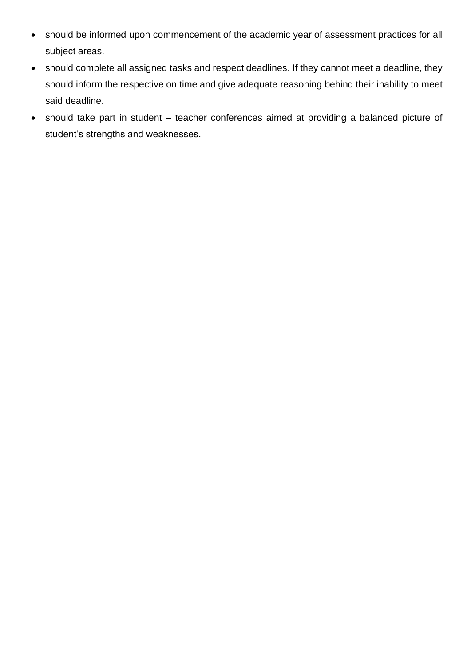- should be informed upon commencement of the academic year of assessment practices for all subject areas.
- should complete all assigned tasks and respect deadlines. If they cannot meet a deadline, they should inform the respective on time and give adequate reasoning behind their inability to meet said deadline.
- should take part in student teacher conferences aimed at providing a balanced picture of student's strengths and weaknesses.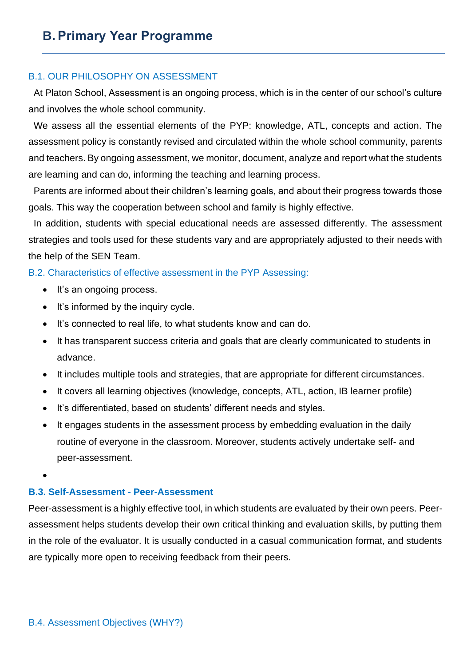#### <span id="page-6-1"></span><span id="page-6-0"></span>B.1. OUR PHILOSOPHY ON ASSESSMENT

 At Platon School, Assessment is an ongoing process, which is in the center of our school's culture and involves the whole school community.

 We assess all the essential elements of the PYP: knowledge, ATL, concepts and action. The assessment policy is constantly revised and circulated within the whole school community, parents and teachers. By ongoing assessment, we monitor, document, analyze and report what the students are learning and can do, informing the teaching and learning process.

 Parents are informed about their children's learning goals, and about their progress towards those goals. This way the cooperation between school and family is highly effective.

 In addition, students with special educational needs are assessed differently. The assessment strategies and tools used for these students vary and are appropriately adjusted to their needs with the help of the SEN Team.

<span id="page-6-2"></span>B.2. Characteristics of effective assessment in the PYP Assessing:

- It's an ongoing process.
- It's informed by the inquiry cycle.
- It's connected to real life, to what students know and can do.
- It has transparent success criteria and goals that are clearly communicated to students in advance.
- It includes multiple tools and strategies, that are appropriate for different circumstances.
- It covers all learning objectives (knowledge, concepts, ATL, action, IB learner profile)
- It's differentiated, based on students' different needs and styles.
- It engages students in the assessment process by embedding evaluation in the daily routine of everyone in the classroom. Moreover, students actively undertake self- and peer-assessment.

•

### <span id="page-6-3"></span>**B.3. Self-Assessment - Peer-Assessment**

<span id="page-6-4"></span>Peer-assessment is a highly effective tool, in which students are evaluated by their own peers. Peerassessment helps students develop their own critical thinking and evaluation skills, by putting them in the role of the evaluator. It is usually conducted in a casual communication format, and students are typically more open to receiving feedback from their peers.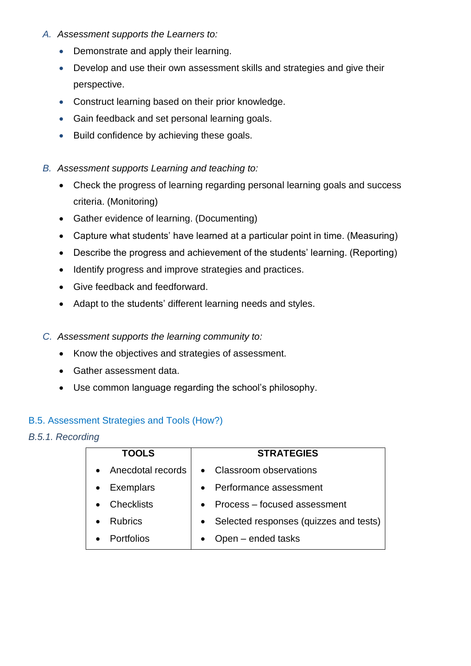- *A. Assessment supports the Learners to:*
	- Demonstrate and apply their learning.
	- Develop and use their own assessment skills and strategies and give their perspective.
	- Construct learning based on their prior knowledge.
	- Gain feedback and set personal learning goals.
	- Build confidence by achieving these goals.
- *B. Assessment supports Learning and teaching to:*
	- Check the progress of learning regarding personal learning goals and success criteria. (Monitoring)
	- Gather evidence of learning. (Documenting)
	- Capture what students' have learned at a particular point in time. (Measuring)
	- Describe the progress and achievement of the students' learning. (Reporting)
	- Identify progress and improve strategies and practices.
	- Give feedback and feedforward.
	- Adapt to the students' different learning needs and styles.
- *C. Assessment supports the learning community to:*
	- Know the objectives and strategies of assessment.
	- Gather assessment data.
	- Use common language regarding the school's philosophy.

#### <span id="page-7-0"></span>B.5. Assessment Strategies and Tools (How?)

#### *B.5.1. Recording*

| <b>TOOLS</b>                  | <b>STRATEGIES</b>                        |
|-------------------------------|------------------------------------------|
| • Anecdotal records           | • Classroom observations                 |
| <b>Exemplars</b><br>$\bullet$ | • Performance assessment                 |
| <b>Checklists</b>             | • Process – focused assessment           |
| <b>Rubrics</b>                | • Selected responses (quizzes and tests) |
| <b>Portfolios</b>             | Open - ended tasks                       |
|                               |                                          |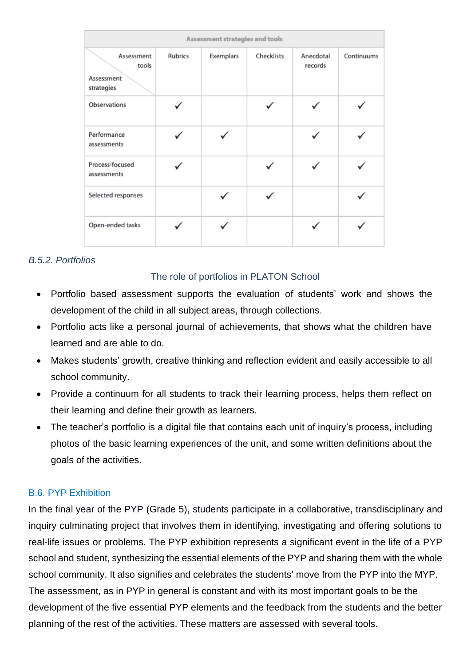| Assessment strategies and tools                 |         |           |            |                      |            |
|-------------------------------------------------|---------|-----------|------------|----------------------|------------|
| Assessment<br>tools<br>Assessment<br>strategies | Rubrics | Exemplars | Checklists | Anecdotal<br>records | Continuums |
| Observations                                    |         |           |            |                      |            |
| Performance<br>assessments                      |         |           |            |                      |            |
| Process-focused<br>assessments                  |         |           |            |                      |            |
| Selected responses                              |         |           |            |                      |            |
| Open-ended tasks                                |         |           |            |                      |            |

#### *B.5.2. Portfolios*

#### The role of portfolios in PLATON School

- Portfolio based assessment supports the evaluation of students' work and shows the development of the child in all subject areas, through collections.
- Portfolio acts like a personal journal of achievements, that shows what the children have learned and are able to do.
- Makes students' growth, creative thinking and reflection evident and easily accessible to all school community.
- Provide a continuum for all students to track their learning process, helps them reflect on their learning and define their growth as learners.
- The teacher's portfolio is a digital file that contains each unit of inquiry's process, including photos of the basic learning experiences of the unit, and some written definitions about the goals of the activities.

#### <span id="page-8-0"></span>B.6. PYP Exhibition

In the final year of the PYP (Grade 5), students participate in a collaborative, transdisciplinary and inquiry culminating project that involves them in identifying, investigating and offering solutions to real-life issues or problems. The PYP exhibition represents a significant event in the life of a PYP school and student, synthesizing the essential elements of the PYP and sharing them with the whole school community. It also signifies and celebrates the students' move from the PYP into the MYP. The assessment, as in PYP in general is constant and with its most important goals to be the development of the five essential PYP elements and the feedback from the students and the better planning of the rest of the activities. These matters are assessed with several tools.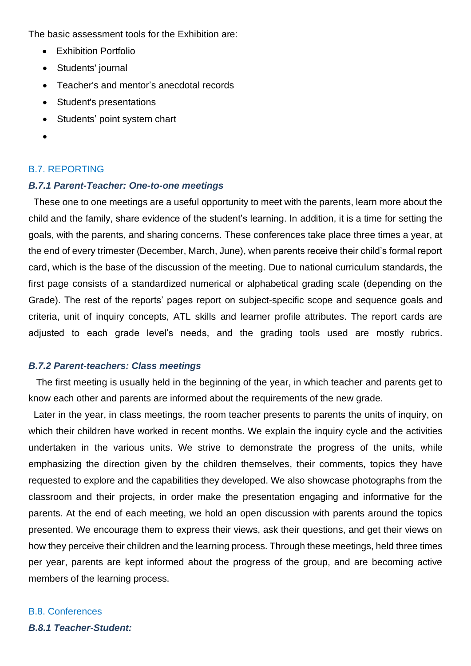The basic assessment tools for the Exhibition are:

- Exhibition Portfolio
- Students' journal
- Teacher's and mentor's anecdotal records
- Student's presentations
- Students' point system chart
- •

#### <span id="page-9-0"></span>B.7. REPORTING

#### *B.7.1 Parent-Teacher: One-to-one meetings*

 These one to one meetings are a useful opportunity to meet with the parents, learn more about the child and the family, share evidence of the student's learning. In addition, it is a time for setting the goals, with the parents, and sharing concerns. These conferences take place three times a year, at the end of every trimester (December, March, June), when parents receive their child's formal report card, which is the base of the discussion of the meeting. Due to national curriculum standards, the first page consists of a standardized numerical or alphabetical grading scale (depending on the Grade). The rest of the reports' pages report on subject-specific scope and sequence goals and criteria, unit of inquiry concepts, ATL skills and learner profile attributes. The report cards are adjusted to each grade level's needs, and the grading tools used are mostly rubrics.

#### *B.7.2 Parent-teachers: Class meetings*

 The first meeting is usually held in the beginning of the year, in which teacher and parents get to know each other and parents are informed about the requirements of the new grade.

 Later in the year, in class meetings, the room teacher presents to parents the units of inquiry, on which their children have worked in recent months. We explain the inquiry cycle and the activities undertaken in the various units. We strive to demonstrate the progress of the units, while emphasizing the direction given by the children themselves, their comments, topics they have requested to explore and the capabilities they developed. We also showcase photographs from the classroom and their projects, in order make the presentation engaging and informative for the parents. At the end of each meeting, we hold an open discussion with parents around the topics presented. We encourage them to express their views, ask their questions, and get their views on how they perceive their children and the learning process. Through these meetings, held three times per year, parents are kept informed about the progress of the group, and are becoming active members of the learning process.

## <span id="page-9-1"></span>B.8. Conferences

*B.8.1 Teacher-Student:*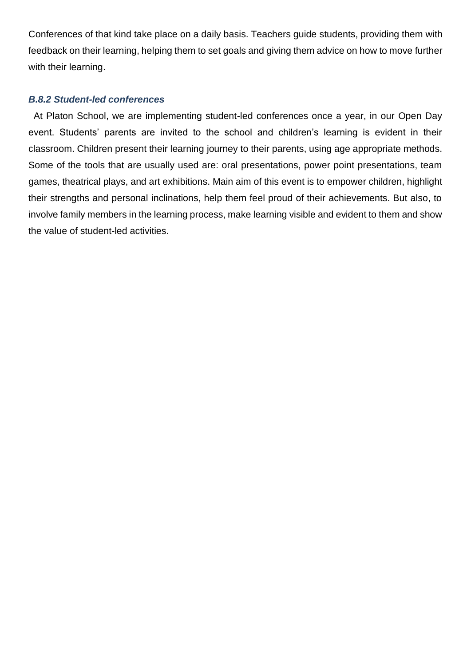Conferences of that kind take place on a daily basis. Teachers guide students, providing them with feedback on their learning, helping them to set goals and giving them advice on how to move further with their learning.

#### *B.8.2 Student-led conferences*

 At Platon School, we are implementing student-led conferences once a year, in our Open Day event. Students' parents are invited to the school and children's learning is evident in their classroom. Children present their learning journey to their parents, using age appropriate methods. Some of the tools that are usually used are: oral presentations, power point presentations, team games, theatrical plays, and art exhibitions. Main aim of this event is to empower children, highlight their strengths and personal inclinations, help them feel proud of their achievements. But also, to involve family members in the learning process, make learning visible and evident to them and show the value of student-led activities.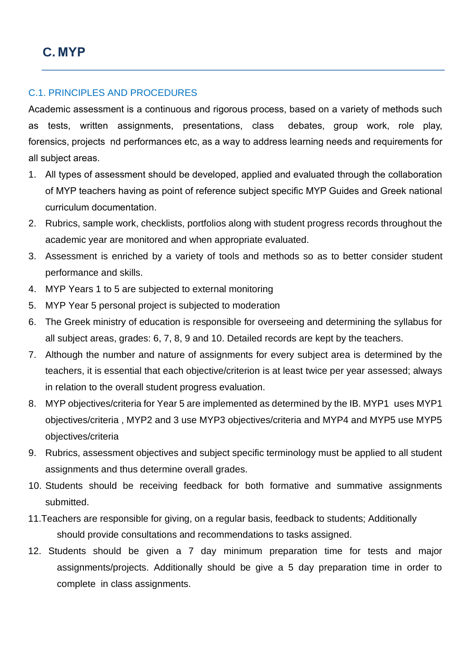#### <span id="page-11-1"></span><span id="page-11-0"></span>C.1. PRINCIPLES AND PROCEDURES

Academic assessment is a continuous and rigorous process, based on a variety of methods such as tests, written assignments, presentations, class debates, group work, role play, forensics, projects nd performances etc, as a way to address learning needs and requirements for all subject areas.

- 1. All types of assessment should be developed, applied and evaluated through the collaboration of MYP teachers having as point of reference subject specific MYP Guides and Greek national curriculum documentation.
- 2. Rubrics, sample work, checklists, portfolios along with student progress records throughout the academic year are monitored and when appropriate evaluated.
- 3. Assessment is enriched by a variety of tools and methods so as to better consider student performance and skills.
- 4. MYP Years 1 to 5 are subjected to external monitoring
- 5. MYP Year 5 personal project is subjected to moderation
- 6. The Greek ministry of education is responsible for overseeing and determining the syllabus for all subject areas, grades: 6, 7, 8, 9 and 10. Detailed records are kept by the teachers.
- 7. Although the number and nature of assignments for every subject area is determined by the teachers, it is essential that each objective/criterion is at least twice per year assessed; always in relation to the overall student progress evaluation.
- 8. MYP objectives/criteria for Year 5 are implemented as determined by the IB. MYP1 uses MYP1 objectives/criteria , MYP2 and 3 use MYP3 objectives/criteria and MYP4 and MYP5 use MYP5 objectives/criteria
- 9. Rubrics, assessment objectives and subject specific terminology must be applied to all student assignments and thus determine overall grades.
- 10. Students should be receiving feedback for both formative and summative assignments submitted.
- 11.Teachers are responsible for giving, on a regular basis, feedback to students; Additionally should provide consultations and recommendations to tasks assigned.
- 12. Students should be given a 7 day minimum preparation time for tests and major assignments/projects. Additionally should be give a 5 day preparation time in order to complete in class assignments.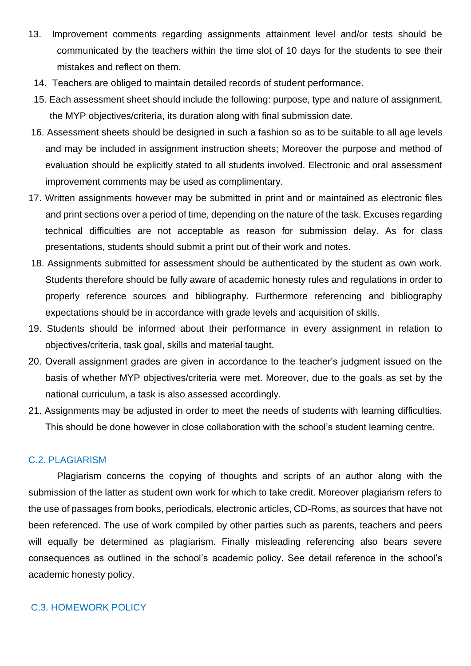- 13. Improvement comments regarding assignments attainment level and/or tests should be communicated by the teachers within the time slot of 10 days for the students to see their mistakes and reflect on them.
	- 14. Teachers are obliged to maintain detailed records of student performance.
	- 15. Each assessment sheet should include the following: purpose, type and nature of assignment, the MYP objectives/criteria, its duration along with final submission date.
- 16. Assessment sheets should be designed in such a fashion so as to be suitable to all age levels and may be included in assignment instruction sheets; Moreover the purpose and method of evaluation should be explicitly stated to all students involved. Electronic and oral assessment improvement comments may be used as complimentary.
- 17. Written assignments however may be submitted in print and or maintained as electronic files and print sections over a period of time, depending on the nature of the task. Excuses regarding technical difficulties are not acceptable as reason for submission delay. As for class presentations, students should submit a print out of their work and notes.
- 18. Assignments submitted for assessment should be authenticated by the student as own work. Students therefore should be fully aware of academic honesty rules and regulations in order to properly reference sources and bibliography. Furthermore referencing and bibliography expectations should be in accordance with grade levels and acquisition of skills.
- 19. Students should be informed about their performance in every assignment in relation to objectives/criteria, task goal, skills and material taught.
- 20. Overall assignment grades are given in accordance to the teacher's judgment issued on the basis of whether MYP objectives/criteria were met. Moreover, due to the goals as set by the national curriculum, a task is also assessed accordingly.
- 21. Assignments may be adjusted in order to meet the needs of students with learning difficulties. This should be done however in close collaboration with the school's student learning centre.

#### <span id="page-12-0"></span>C.2. PLAGIARISM

Plagiarism concerns the copying of thoughts and scripts of an author along with the submission of the latter as student own work for which to take credit. Moreover plagiarism refers to the use of passages from books, periodicals, electronic articles, CD-Roms, as sources that have not been referenced. The use of work compiled by other parties such as parents, teachers and peers will equally be determined as plagiarism. Finally misleading referencing also bears severe consequences as outlined in the school's academic policy. See detail reference in the school's academic honesty policy.

#### <span id="page-12-1"></span>C.3. HOMEWORK POLICY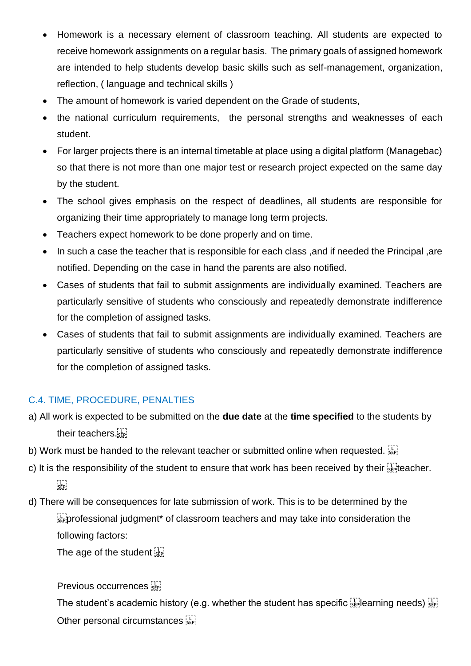- Homework is a necessary element of classroom teaching. All students are expected to receive homework assignments on a regular basis. The primary goals of assigned homework are intended to help students develop basic skills such as self-management, organization, reflection, ( language and technical skills )
- The amount of homework is varied dependent on the Grade of students,
- the national curriculum requirements, the personal strengths and weaknesses of each student.
- For larger projects there is an internal timetable at place using a digital platform (Managebac) so that there is not more than one major test or research project expected on the same day by the student.
- The school gives emphasis on the respect of deadlines, all students are responsible for organizing their time appropriately to manage long term projects.
- Teachers expect homework to be done properly and on time.
- In such a case the teacher that is responsible for each class ,and if needed the Principal ,are notified. Depending on the case in hand the parents are also notified.
- Cases of students that fail to submit assignments are individually examined. Teachers are particularly sensitive of students who consciously and repeatedly demonstrate indifference for the completion of assigned tasks.
- Cases of students that fail to submit assignments are individually examined. Teachers are particularly sensitive of students who consciously and repeatedly demonstrate indifference for the completion of assigned tasks.

### <span id="page-13-0"></span>C.4. TIME, PROCEDURE, PENALTIES

- a) All work is expected to be submitted on the **due date** at the **time specified** to the students by their teachers.
- b) Work must be handed to the relevant teacher or submitted online when requested.
- c) It is the responsibility of the student to ensure that work has been received by their  $\sum_{s\in \mathbb{N}}$  teacher.  $\sum_{i\in \mathbf{P}_i}$
- d) There will be consequences for late submission of work. This is to be determined by the  $\frac{1}{2}$  professional judgment\* of classroom teachers and may take into consideration the following factors:

The age of the student  $\frac{1}{35}$ 

Previous occurrences

The student's academic history (e.g. whether the student has specific  $\sum_{\text{SEP}}$  earning needs)  $\sum_{\text{SEP}}$ Other personal circumstances step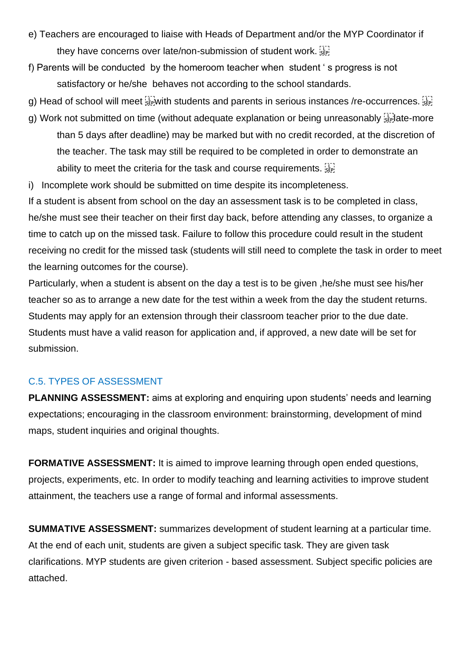- e) Teachers are encouraged to liaise with Heads of Department and/or the MYP Coordinator if they have concerns over late/non-submission of student work.
- f) Parents will be conducted by the homeroom teacher when student ' s progress is not satisfactory or he/she behaves not according to the school standards.
- g) Head of school will meet  $\frac{17}{35}$  with students and parents in serious instances /re-occurrences.
- g) Work not submitted on time (without adequate explanation or being unreasonably  $\frac{1}{36}$  ate-more than 5 days after deadline) may be marked but with no credit recorded, at the discretion of the teacher. The task may still be required to be completed in order to demonstrate an ability to meet the criteria for the task and course requirements.
- i) Incomplete work should be submitted on time despite its incompleteness.

If a student is absent from school on the day an assessment task is to be completed in class, he/she must see their teacher on their first day back, before attending any classes, to organize a time to catch up on the missed task. Failure to follow this procedure could result in the student receiving no credit for the missed task (students will still need to complete the task in order to meet the learning outcomes for the course).

Particularly, when a student is absent on the day a test is to be given ,he/she must see his/her teacher so as to arrange a new date for the test within a week from the day the student returns. Students may apply for an extension through their classroom teacher prior to the due date. Students must have a valid reason for application and, if approved, a new date will be set for submission.

#### <span id="page-14-0"></span>C.5. TYPES OF ASSESSMENT

**PLANNING ASSESSMENT:** aims at exploring and enquiring upon students' needs and learning expectations; encouraging in the classroom environment: brainstorming, development of mind maps, student inquiries and original thoughts.

**FORMATIVE ASSESSMENT:** It is aimed to improve learning through open ended questions, projects, experiments, etc. In order to modify teaching and learning activities to improve student attainment, the teachers use a range of formal and informal assessments.

**SUMMATIVE ASSESSMENT:** summarizes development of student learning at a particular time. At the end of each unit, students are given a subject specific task. They are given task clarifications. MYP students are given criterion - based assessment. Subject specific policies are attached.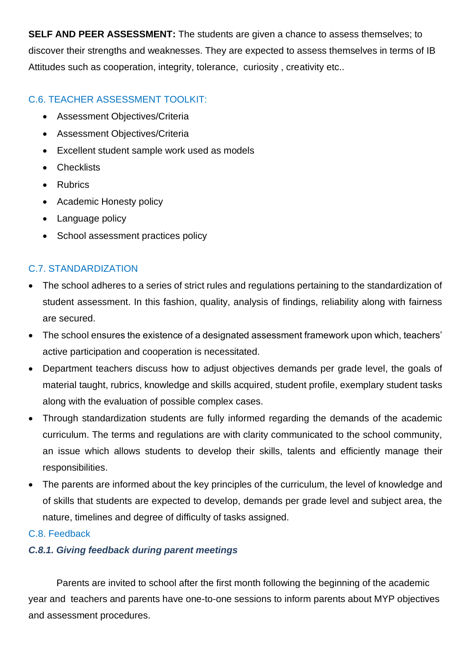**SELF AND PEER ASSESSMENT:** The students are given a chance to assess themselves; to discover their strengths and weaknesses. They are expected to assess themselves in terms of IB Attitudes such as cooperation, integrity, tolerance, curiosity , creativity etc..

#### <span id="page-15-0"></span>C.6. TEACHER ASSESSMENT TOOLKIT:

- Assessment Objectives/Criteria
- Assessment Objectives/Criteria
- Excellent student sample work used as models
- Checklists
- Rubrics
- Academic Honesty policy
- Language policy
- School assessment practices policy

#### <span id="page-15-1"></span>C.7. STANDARDIZATION

- The school adheres to a series of strict rules and regulations pertaining to the standardization of student assessment. In this fashion, quality, analysis of findings, reliability along with fairness are secured.
- The school ensures the existence of a designated assessment framework upon which, teachers' active participation and cooperation is necessitated.
- Department teachers discuss how to adjust objectives demands per grade level, the goals of material taught, rubrics, knowledge and skills acquired, student profile, exemplary student tasks along with the evaluation of possible complex cases.
- Through standardization students are fully informed regarding the demands of the academic curriculum. The terms and regulations are with clarity communicated to the school community, an issue which allows students to develop their skills, talents and efficiently manage their responsibilities.
- The parents are informed about the key principles of the curriculum, the level of knowledge and of skills that students are expected to develop, demands per grade level and subject area, the nature, timelines and degree of difficulty of tasks assigned.

#### <span id="page-15-2"></span>C.8. Feedback

#### *C.8.1. Giving feedback during parent meetings*

Parents are invited to school after the first month following the beginning of the academic year and teachers and parents have one-to-one sessions to inform parents about MYP objectives and assessment procedures.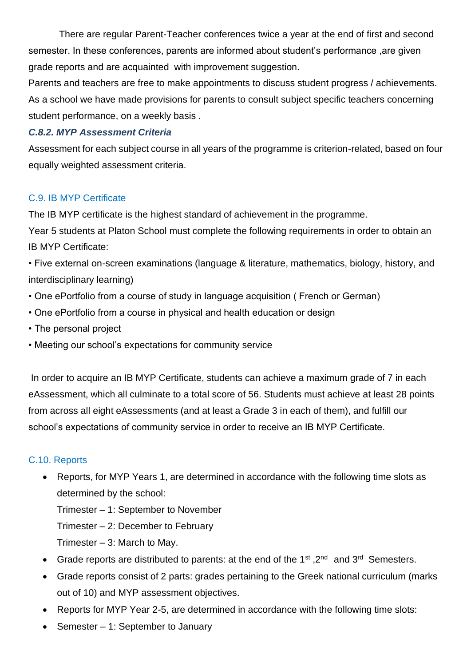There are regular Parent-Teacher conferences twice a year at the end of first and second semester. In these conferences, parents are informed about student's performance ,are given grade reports and are acquainted with improvement suggestion.

Parents and teachers are free to make appointments to discuss student progress / achievements. As a school we have made provisions for parents to consult subject specific teachers concerning student performance, on a weekly basis .

#### *C.8.2. MYP Assessment Criteria*

Assessment for each subject course in all years of the programme is criterion-related, based on four equally weighted assessment criteria.

#### <span id="page-16-0"></span>C.9. IB MYP Certificate

The IB MYP certificate is the highest standard of achievement in the programme.

Year 5 students at Platon School must complete the following requirements in order to obtain an IB MYP Certificate:

• Five external on-screen examinations (language & literature, mathematics, biology, history, and interdisciplinary learning)

- One ePortfolio from a course of study in language acquisition ( French or German)
- One ePortfolio from a course in physical and health education or design
- The personal project
- Meeting our school's expectations for community service

In order to acquire an IB MYP Certificate, students can achieve a maximum grade of 7 in each eAssessment, which all culminate to a total score of 56. Students must achieve at least 28 points from across all eight eAssessments (and at least a Grade 3 in each of them), and fulfill our school's expectations of community service in order to receive an IB MYP Certificate.

#### <span id="page-16-1"></span>C.10. Reports

• Reports, for MYP Years 1, are determined in accordance with the following time slots as determined by the school:

Trimester – 1: September to November

Trimester – 2: December to February

Trimester – 3: March to May.

- Grade reports are distributed to parents: at the end of the 1<sup>st</sup>, 2<sup>nd</sup> and 3<sup>rd</sup> Semesters.
- Grade reports consist of 2 parts: grades pertaining to the Greek national curriculum (marks out of 10) and MYP assessment objectives.
- Reports for MYP Year 2-5, are determined in accordance with the following time slots:
- Semester 1: September to January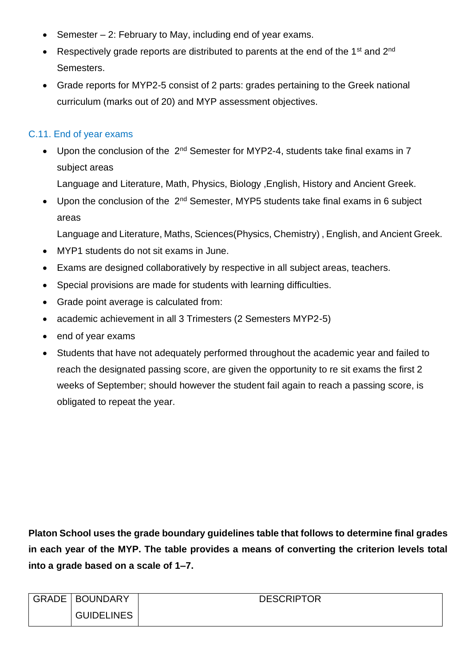- Semester 2: February to May, including end of year exams.
- Respectively grade reports are distributed to parents at the end of the 1<sup>st</sup> and 2<sup>nd</sup> Semesters.
- Grade reports for MYP2-5 consist of 2 parts: grades pertaining to the Greek national curriculum (marks out of 20) and MYP assessment objectives.

#### <span id="page-17-0"></span>C.11. End of year exams

- Upon the conclusion of the 2<sup>nd</sup> Semester for MYP2-4, students take final exams in 7 subject areas Language and Literature, Math, Physics, Biology ,English, History and Ancient Greek.
- Upon the conclusion of the 2<sup>nd</sup> Semester, MYP5 students take final exams in 6 subject areas

Language and Literature, Maths, Sciences(Physics, Chemistry) , English, and Ancient Greek.

- MYP1 students do not sit exams in June.
- Exams are designed collaboratively by respective in all subject areas, teachers.
- Special provisions are made for students with learning difficulties.
- Grade point average is calculated from:
- academic achievement in all 3 Trimesters (2 Semesters MYP2-5)
- end of year exams
- Students that have not adequately performed throughout the academic year and failed to reach the designated passing score, are given the opportunity to re sit exams the first 2 weeks of September; should however the student fail again to reach a passing score, is obligated to repeat the year.

**Platon School uses the grade boundary guidelines table that follows to determine final grades in each year of the MYP. The table provides a means of converting the criterion levels total into a grade based on a scale of 1–7.**

| GRADE   BOUNDARY  | <b>DESCRIPTOR</b> |
|-------------------|-------------------|
| <b>GUIDELINES</b> |                   |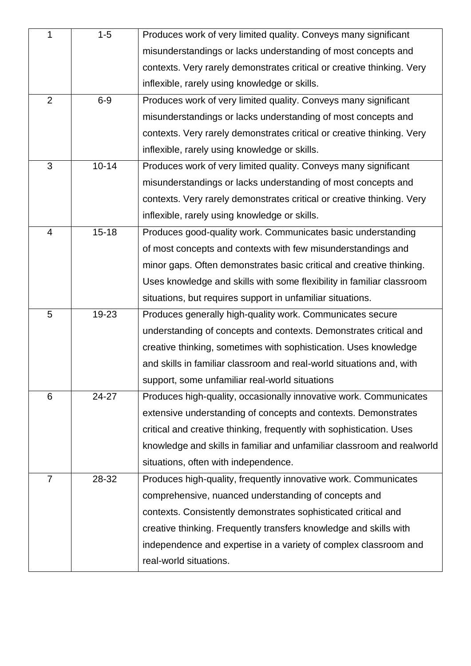| 1              | $1 - 5$   | Produces work of very limited quality. Conveys many significant         |  |  |
|----------------|-----------|-------------------------------------------------------------------------|--|--|
|                |           | misunderstandings or lacks understanding of most concepts and           |  |  |
|                |           | contexts. Very rarely demonstrates critical or creative thinking. Very  |  |  |
|                |           | inflexible, rarely using knowledge or skills.                           |  |  |
| $\overline{2}$ | $6-9$     | Produces work of very limited quality. Conveys many significant         |  |  |
|                |           | misunderstandings or lacks understanding of most concepts and           |  |  |
|                |           | contexts. Very rarely demonstrates critical or creative thinking. Very  |  |  |
|                |           | inflexible, rarely using knowledge or skills.                           |  |  |
| 3              | $10 - 14$ | Produces work of very limited quality. Conveys many significant         |  |  |
|                |           | misunderstandings or lacks understanding of most concepts and           |  |  |
|                |           | contexts. Very rarely demonstrates critical or creative thinking. Very  |  |  |
|                |           | inflexible, rarely using knowledge or skills.                           |  |  |
| 4              | $15 - 18$ | Produces good-quality work. Communicates basic understanding            |  |  |
|                |           | of most concepts and contexts with few misunderstandings and            |  |  |
|                |           | minor gaps. Often demonstrates basic critical and creative thinking.    |  |  |
|                |           | Uses knowledge and skills with some flexibility in familiar classroom   |  |  |
|                |           | situations, but requires support in unfamiliar situations.              |  |  |
| 5              | 19-23     | Produces generally high-quality work. Communicates secure               |  |  |
|                |           | understanding of concepts and contexts. Demonstrates critical and       |  |  |
|                |           | creative thinking, sometimes with sophistication. Uses knowledge        |  |  |
|                |           | and skills in familiar classroom and real-world situations and, with    |  |  |
|                |           | support, some unfamiliar real-world situations                          |  |  |
| 6              | 24-27     | Produces high-quality, occasionally innovative work. Communicates       |  |  |
|                |           | extensive understanding of concepts and contexts. Demonstrates          |  |  |
|                |           | critical and creative thinking, frequently with sophistication. Uses    |  |  |
|                |           | knowledge and skills in familiar and unfamiliar classroom and realworld |  |  |
|                |           | situations, often with independence.                                    |  |  |
| $\overline{7}$ | 28-32     | Produces high-quality, frequently innovative work. Communicates         |  |  |
|                |           | comprehensive, nuanced understanding of concepts and                    |  |  |
|                |           | contexts. Consistently demonstrates sophisticated critical and          |  |  |
|                |           | creative thinking. Frequently transfers knowledge and skills with       |  |  |
|                |           | independence and expertise in a variety of complex classroom and        |  |  |
|                |           | real-world situations.                                                  |  |  |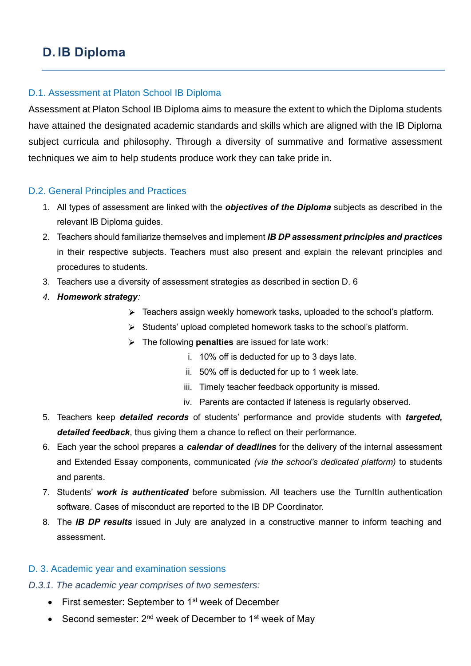# <span id="page-19-0"></span>**D. IB Diploma**

#### <span id="page-19-1"></span>D.1. Assessment at Platon School IB Diploma

Assessment at Platon School IB Diploma aims to measure the extent to which the Diploma students have attained the designated academic standards and skills which are aligned with the IB Diploma subject curricula and philosophy. Through a diversity of summative and formative assessment techniques we aim to help students produce work they can take pride in.

#### <span id="page-19-2"></span>D.2. General Principles and Practices

- 1. All types of assessment are linked with the *objectives of the Diploma* subjects as described in the relevant IB Diploma guides.
- 2. Teachers should familiarize themselves and implement *IB DP assessment principles and practices* in their respective subjects. Teachers must also present and explain the relevant principles and procedures to students.
- 3. Teachers use a diversity of assessment strategies as described in section D. 6
- *4. Homework strategy:* 
	- Feachers assign weekly homework tasks, uploaded to the school's platform.
	- $\triangleright$  Students' upload completed homework tasks to the school's platform.
	- The following **penalties** are issued for late work:
		- i. 10% off is deducted for up to 3 days late.
		- ii. 50% off is deducted for up to 1 week late.
		- iii. Timely teacher feedback opportunity is missed.
		- iv. Parents are contacted if lateness is regularly observed.
- 5. Teachers keep *detailed records* of students' performance and provide students with *targeted, detailed feedback*, thus giving them a chance to reflect on their performance.
- 6. Each year the school prepares a *calendar of deadlines* for the delivery of the internal assessment and Extended Essay components, communicated *(via the school's dedicated platform)* to students and parents.
- 7. Students' *work is authenticated* before submission. All teachers use the TurnItIn authentication software. Cases of misconduct are reported to the IB DP Coordinator.
- 8. The *IB DP results* issued in July are analyzed in a constructive manner to inform teaching and assessment.

#### <span id="page-19-3"></span>D. 3. Academic year and examination sessions

- <span id="page-19-4"></span>*D.3.1. The academic year comprises of two semesters:* 
	- First semester: September to 1<sup>st</sup> week of December
	- Second semester:  $2^{nd}$  week of December to 1<sup>st</sup> week of May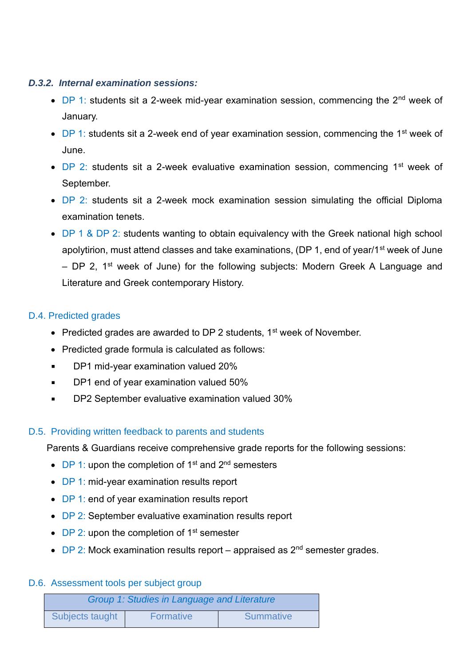#### *D.3.2. Internal examination sessions:*

- DP 1: students sit a 2-week mid-year examination session, commencing the  $2^{nd}$  week of January.
- DP 1: students sit a 2-week end of year examination session, commencing the 1<sup>st</sup> week of June.
- $DP$  2: students sit a 2-week evaluative examination session, commencing  $1<sup>st</sup>$  week of September.
- DP 2: students sit a 2-week mock examination session simulating the official Diploma examination tenets.
- DP 1 & DP 2: students wanting to obtain equivalency with the Greek national high school apolytirion, must attend classes and take examinations, (DP 1, end of year/1<sup>st</sup> week of June – DP 2,  $1^{st}$  week of June) for the following subjects: Modern Greek A Language and Literature and Greek contemporary History.

#### <span id="page-20-0"></span>D.4. Predicted grades

- Predicted grades are awarded to DP 2 students,  $1<sup>st</sup>$  week of November.
- Predicted grade formula is calculated as follows:
- DP1 mid-year examination valued 20%
- DP1 end of year examination valued 50%  $\blacksquare$
- DP2 September evaluative examination valued 30%  $\blacksquare$

#### <span id="page-20-1"></span>D.5. Providing written feedback to parents and students

Parents & Guardians receive comprehensive grade reports for the following sessions:

- $DP_1$ : upon the completion of 1<sup>st</sup> and  $2^{nd}$  semesters
- DP 1: mid-year examination results report
- DP 1: end of year examination results report
- DP 2: September evaluative examination results report
- DP 2: upon the completion of  $1<sup>st</sup>$  semester
- DP 2: Mock examination results report appraised as  $2<sup>nd</sup>$  semester grades.

#### <span id="page-20-2"></span>D.6. Assessment tools per subject group

| Group 1: Studies in Language and Literature |                  |                  |  |
|---------------------------------------------|------------------|------------------|--|
| Subjects taught                             | <b>Formative</b> | <b>Summative</b> |  |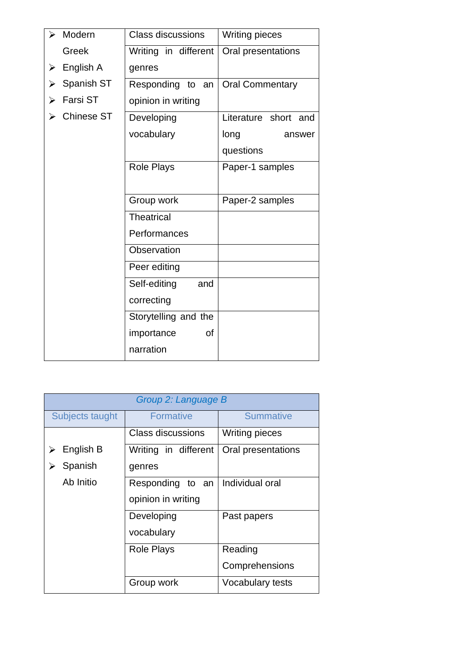| Modern<br>➢          | <b>Class discussions</b> | <b>Writing pieces</b>  |  |
|----------------------|--------------------------|------------------------|--|
| Greek                | Writing in different     | Oral presentations     |  |
| English A            | genres                   |                        |  |
| Spanish ST<br>⋗      | Responding<br>to<br>an   | <b>Oral Commentary</b> |  |
| <b>Farsi ST</b><br>⋗ | opinion in writing       |                        |  |
| <b>Chinese ST</b>    | Developing               | Literature short and   |  |
|                      | vocabulary               | long<br>answer         |  |
|                      |                          | questions              |  |
|                      | <b>Role Plays</b>        | Paper-1 samples        |  |
|                      |                          |                        |  |
|                      | Group work               | Paper-2 samples        |  |
|                      | <b>Theatrical</b>        |                        |  |
|                      | Performances             |                        |  |
|                      | Observation              |                        |  |
|                      | Peer editing             |                        |  |
|                      | Self-editing<br>and      |                        |  |
|                      | correcting               |                        |  |
|                      | Storytelling and the     |                        |  |
|                      | importance<br>οf         |                        |  |
|                      | narration                |                        |  |

| Group 2: Language B |                      |                       |  |  |  |
|---------------------|----------------------|-----------------------|--|--|--|
| Subjects taught     | Formative            | <b>Summative</b>      |  |  |  |
|                     | Class discussions    | <b>Writing pieces</b> |  |  |  |
| English B           | Writing in different | Oral presentations    |  |  |  |
| Spanish             | genres               |                       |  |  |  |
| Ab Initio           | Responding to an     | Individual oral       |  |  |  |
|                     | opinion in writing   |                       |  |  |  |
|                     | Developing           | Past papers           |  |  |  |
|                     | vocabulary           |                       |  |  |  |
|                     | <b>Role Plays</b>    | Reading               |  |  |  |
|                     |                      | Comprehensions        |  |  |  |
|                     | Group work           | Vocabulary tests      |  |  |  |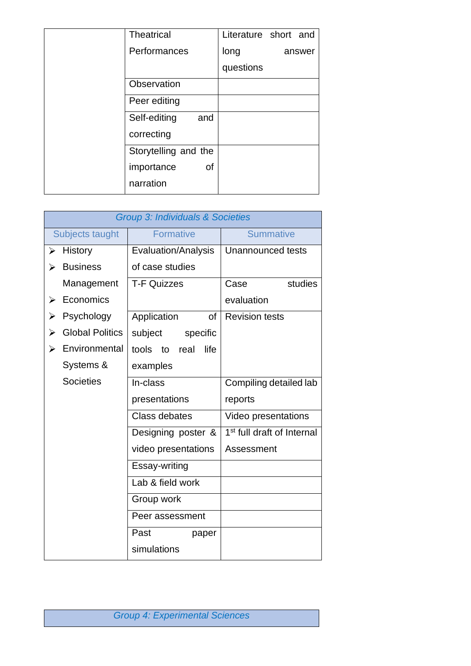| <b>Theatrical</b>    |           | Literature short and |
|----------------------|-----------|----------------------|
| Performances         | long      | answer               |
|                      | questions |                      |
| Observation          |           |                      |
| Peer editing         |           |                      |
| Self-editing<br>and  |           |                      |
| correcting           |           |                      |
| Storytelling and the |           |                      |
| importance<br>0f     |           |                      |
| narration            |           |                      |

|                  | <b>Group 3: Individuals &amp; Societies</b> |                            |                                        |  |  |  |
|------------------|---------------------------------------------|----------------------------|----------------------------------------|--|--|--|
|                  | Subjects taught                             | <b>Formative</b>           | <b>Summative</b>                       |  |  |  |
| ➤                | History                                     | <b>Evaluation/Analysis</b> | Unannounced tests                      |  |  |  |
| ⋗                | <b>Business</b>                             | of case studies            |                                        |  |  |  |
|                  | Management                                  | <b>T-F Quizzes</b>         | studies<br>Case                        |  |  |  |
|                  | Economics                                   |                            | evaluation                             |  |  |  |
|                  | Psychology                                  | Application<br><b>of</b>   | <b>Revision tests</b>                  |  |  |  |
| ⋗                | <b>Global Politics</b>                      | subject<br>specific        |                                        |  |  |  |
|                  | Environmental                               | tools to<br>life<br>real   |                                        |  |  |  |
|                  | Systems &                                   | examples                   |                                        |  |  |  |
| <b>Societies</b> |                                             | In-class                   | Compiling detailed lab                 |  |  |  |
|                  |                                             | presentations              | reports                                |  |  |  |
|                  |                                             | <b>Class debates</b>       | Video presentations                    |  |  |  |
|                  |                                             | Designing poster &         | 1 <sup>st</sup> full draft of Internal |  |  |  |
|                  |                                             | video presentations        | Assessment                             |  |  |  |
|                  |                                             | Essay-writing              |                                        |  |  |  |
|                  |                                             | Lab & field work           |                                        |  |  |  |
|                  |                                             | Group work                 |                                        |  |  |  |
|                  |                                             | Peer assessment            |                                        |  |  |  |
|                  |                                             | Past<br>paper              |                                        |  |  |  |
| simulations      |                                             |                            |                                        |  |  |  |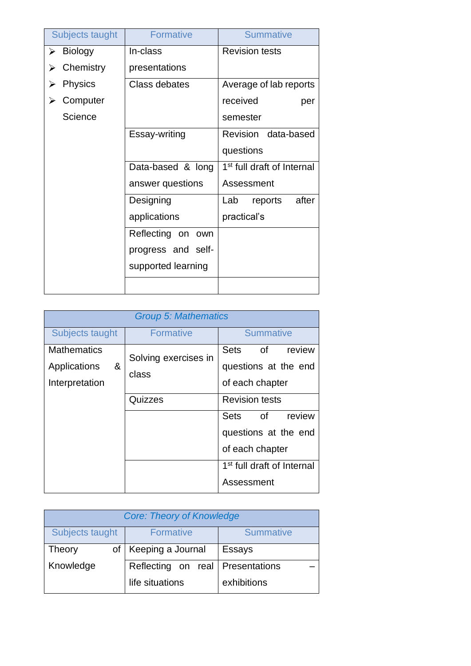| Subjects taught     | <b>Formative</b>     | <b>Summative</b>                       |
|---------------------|----------------------|----------------------------------------|
| <b>Biology</b><br>➤ | In-class             | <b>Revision tests</b>                  |
| Chemistry           | presentations        |                                        |
| <b>Physics</b>      | Class debates        | Average of lab reports                 |
| Computer            |                      | received<br>per                        |
| Science             |                      | semester                               |
|                     | Essay-writing        | Revision data-based                    |
|                     |                      | questions                              |
|                     | Data-based & long    | 1 <sup>st</sup> full draft of Internal |
|                     | answer questions     | Assessment                             |
|                     | Designing            | after<br>Lab<br>reports                |
|                     | applications         | practical's                            |
|                     | Reflecting on<br>own |                                        |
|                     | progress and self-   |                                        |
|                     | supported learning   |                                        |
|                     |                      |                                        |

| Group 5: Mathematics                                      |                                          |                                                                                                                                                                                                                     |  |  |
|-----------------------------------------------------------|------------------------------------------|---------------------------------------------------------------------------------------------------------------------------------------------------------------------------------------------------------------------|--|--|
| Subjects taught                                           | <b>Formative</b>                         | <b>Summative</b>                                                                                                                                                                                                    |  |  |
| <b>Mathematics</b><br>&<br>Applications<br>Interpretation | Solving exercises in<br>class<br>Quizzes | Sets<br>of<br>review<br>questions at the end<br>of each chapter<br><b>Revision tests</b><br>Sets<br>of<br>review<br>questions at the end<br>of each chapter<br>1 <sup>st</sup> full draft of Internal<br>Assessment |  |  |

| <b>Core: Theory of Knowledge</b> |                                    |                  |  |
|----------------------------------|------------------------------------|------------------|--|
| Subjects taught                  | <b>Formative</b>                   | <b>Summative</b> |  |
| Theory<br>of l                   | Keeping a Journal                  | <b>Essays</b>    |  |
| Knowledge                        | Reflecting on real   Presentations |                  |  |
|                                  | life situations                    | exhibitions      |  |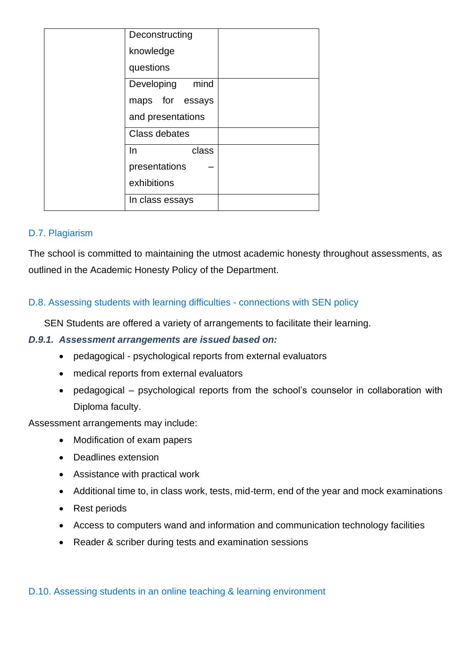|    | Deconstructing     |  |
|----|--------------------|--|
|    | knowledge          |  |
|    | questions          |  |
|    | mind<br>Developing |  |
|    | maps for essays    |  |
|    | and presentations  |  |
|    | Class debates      |  |
| In | class              |  |
|    | presentations      |  |
|    | exhibitions        |  |
|    | In class essays    |  |

#### <span id="page-24-0"></span>D.7. Plagiarism

The school is committed to maintaining the utmost academic honesty throughout assessments, as outlined in the Academic Honesty Policy of the Department.

#### <span id="page-24-1"></span>D.8. Assessing students with learning difficulties - connections with SEN policy

SEN Students are offered a variety of arrangements to facilitate their learning.

#### <span id="page-24-2"></span>*D.9.1. Assessment arrangements are issued based on:*

- pedagogical psychological reports from external evaluators
- medical reports from external evaluators
- pedagogical psychological reports from the school's counselor in collaboration with Diploma faculty.

Assessment arrangements may include:

- Modification of exam papers
- Deadlines extension
- Assistance with practical work
- Additional time to, in class work, tests, mid-term, end of the year and mock examinations
- Rest periods
- Access to computers wand and information and communication technology facilities
- Reader & scriber during tests and examination sessions

#### <span id="page-24-3"></span>D.10. Assessing students in an online teaching & learning environment